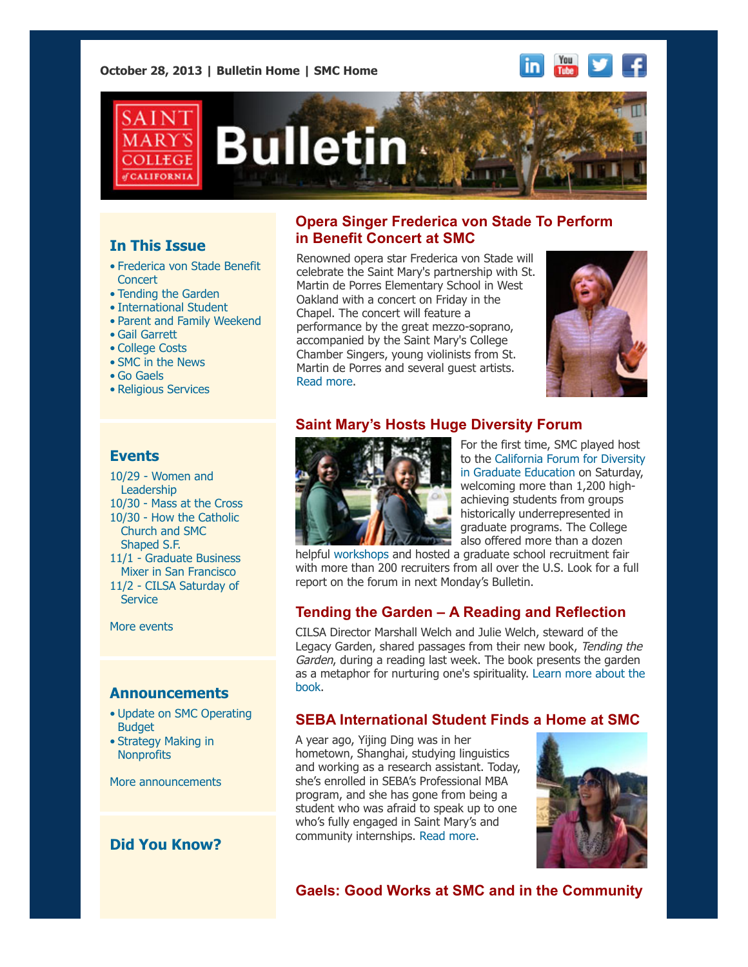**October 28, 2013 | [Bulletin Home](http://www.stmarys-ca.edu/smc-bulletin?utm_source=Bulletin&utm_medium=email&utm_campaign=10-28-2013) | [SMC Home](http://www.stmarys-ca.edu/?utm_source=Bulletin&utm_medium=email&utm_campaign=10-28-2013)**





## **In This Issue**

- [•](file:///Users/smallalieu/Documents/StMarys/Bulletin/Bulletin_10_28_13/Bulletin_10_28_13_SENT.html#09_30_13_studentslearn) Frederica von Stade Benefit **Concert**
- Tending the Garden
- International Student
- Parent and Family Weekend
- Gail Garrett
- College Costs
- SMC in the News
- Go Gaels
- Religious Services

## **Events**

[10/29 - Women and](http://www.stmarys-ca.edu/women-leadership-communication-leadership-series?utm_source=Bulletin&utm_medium=email&utm_campaign=10-28-2013)  Leadership 10/30 - [Mass at the Cross](http://www.stmarys-ca.edu/mass-at-the-cross?utm_source=Bulletin&utm_medium=email&utm_campaign=10-28-2013) 10/30 - How the Catholic  [Church and SMC](http://www.stmarys-ca.edu/how-the-catholic-church-shaped-20th-century-san-francisco?utm_source=Bulletin&utm_medium=email&utm_campaign=10-28-2013) Shaped S.F. [11/1 - Graduate Business](http://www.stmarys-ca.edu/graduate-business-mixer-san-francisco?utm_source=Bulletin&utm_medium=email&utm_campaign=10-28-2013) Mixer in San Francisco

[11/2 - CILSA Saturday of](http://www.stmarys-ca.edu/cilsa-saturday-of-service-november-2nd-9am-230pm?utm_source=Bulletin&utm_medium=email&utm_campaign=10-28-2013) **Service** 

[More events](http://www.stmarys-ca.edu/calendar/63?utm_source=Bulletin&utm_medium=email&utm_campaign=10-14-2013)

## **Announcements**

- [•](file:///Users/smallalieu/Documents/StMarys/Bulletin/Bulletin_10_28_13/Bulletin_10_28_13_SENT.html#09_30_13_studentslearn) [Update on SMC Operating](http://www.stmarys-ca.edu/trustees-approve-modifications-to-smc-operating-budget?utm_source=Bulletin&utm_medium=email&utm_campaign=10-28-2013) **Budget**
- [•](file:///Users/smallalieu/Documents/StMarys/Bulletin/Bulletin_10_28_13/Bulletin_10_28_13_SENT.html#09_30_13_studentslearn) [Strategy Making in](http://www.stmarys-ca.edu/strategy-making-in-nonprofit-organizations-0?utm_source=Bulletin&utm_medium=email&utm_campaign=10-28-2013) **Nonprofits**

[More announcements](http://www.stmarys-ca.edu/smc-bulletin/announcements?utm_source=Bulletin&utm_medium=email&utm_campaign=10-14-2013)

# **Did You Know?**

## **Opera Singer Frederica von Stade To Perform in Benefit Concert at SMC**

Renowned opera star Frederica von Stade will celebrate the Saint Mary's partnership with St. Martin de Porres Elementary School in West Oakland with a concert on Friday in the Chapel. The concert will feature a performance by the great mezzo-soprano, accompanied by the Saint Mary's College Chamber Singers, young violinists from St. Martin de Porres and several guest artists. [Read more.](http://www.stmarys-ca.edu/saint-martin-de-porres-benefit-concert?utm_source=Bulletin&utm_medium=email&utm_campaign=10-28-2013)



# **Saint Mary's Hosts Huge Diversity Forum**



For the first time, SMC played host [to the California Forum for Diversity](http://www.ucop.edu/forum-for-diversity/recruiters/index.html) in Graduate Education on Saturday, welcoming more than 1,200 highachieving students from groups historically underrepresented in graduate programs. The College also offered more than a dozen

helpful [workshops](http://www.stmarys-ca.edu/graduate-and-professional-studies/news-and-events/california-forum-for-diversity-in-graduate?utm_source=Bulletin&utm_medium=email&utm_campaign=10-28-2013) and hosted a graduate school recruitment fair with more than 200 recruiters from all over the U.S. Look for a full report on the forum in next Monday's Bulletin.

### **Tending the Garden – A Reading and Reflection**

CILSA Director Marshall Welch and Julie Welch, steward of the Legacy Garden, shared passages from their new book, Tending the Garden, during a reading last week. The book presents the garden [as a metaphor for nurturing one's spirituality. Learn more about the](http://www.stmarys-ca.edu/saint-marys-magazine/tastings?utm_source=Bulletin&utm_medium=email&utm_campaign=10-28-2013) book.

### **SEBA International Student Finds a Home at SMC**

A year ago, Yijing Ding was in her hometown, Shanghai, studying linguistics and working as a research assistant. Today, she's enrolled in SEBA's Professional MBA program, and she has gone from being a student who was afraid to speak up to one who's fully engaged in Saint Mary's and community internships. [Read more.](http://www.stmarys-ca.edu/international-student-finds-a-home-at-saint-marys?utm_source=Bulletin&utm_medium=email&utm_campaign=10-28-2013)



### **Gaels: Good Works at SMC and in the Community**